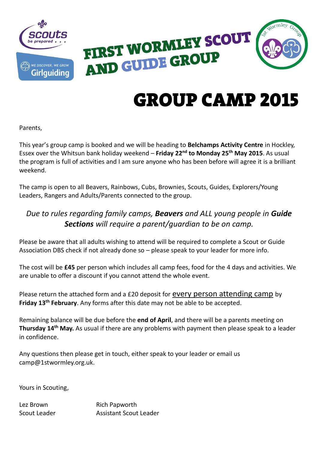



## GROUP CAMP 2015

Parents,

This year's group camp is booked and we will be heading to **Belchamps Activity Centre** in Hockley, Essex over the Whitsun bank holiday weekend – **Friday 22nd to Monday 25th May 2015**. As usual the program is full of activities and I am sure anyone who has been before will agree it is a brilliant weekend.

The camp is open to all Beavers, Rainbows, Cubs, Brownies, Scouts, Guides, Explorers/Young Leaders, Rangers and Adults/Parents connected to the group.

## *Due to rules regarding family camps, Beavers and ALL young people in Guide Sections will require a parent/guardian to be on camp.*

Please be aware that all adults wishing to attend will be required to complete a Scout or Guide Association DBS check if not already done so – please speak to your leader for more info.

The cost will be **£45** per person which includes all camp fees, food for the 4 days and activities. We are unable to offer a discount if you cannot attend the whole event.

Please return the attached form and a £20 deposit for every person attending camp by **Friday 13th February**. Any forms after this date may not be able to be accepted.

Remaining balance will be due before the **end of April**, and there will be a parents meeting on **Thursday 14th May.** As usual if there are any problems with payment then please speak to a leader in confidence.

Any questions then please get in touch, either speak to your leader or email us camp@1stwormley.org.uk.

Yours in Scouting,

Lez Brown Rich Papworth Scout Leader **Assistant Scout Leader**